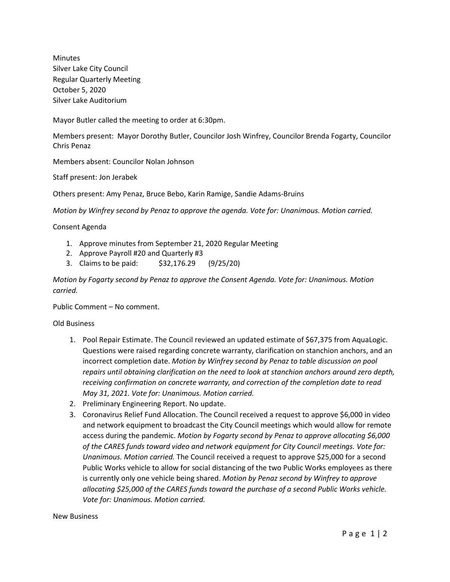Minutes Silver Lake City Council Regular Quarterly Meeting October 5, 2020 Silver Lake Auditorium

Mayor Butler called the meeting to order at 6:30pm.

Members present: Mayor Dorothy Butler, Councilor Josh Winfrey, Councilor Brenda Fogarty, Councilor Chris Penaz

Members absent: Councilor Nolan Johnson

Staff present: Jon Jerabek

Others present: Amy Penaz, Bruce Bebo, Karin Ramige, Sandie Adams-Bruins

*Motion by Winfrey second by Penaz to approve the agenda. Vote for: Unanimous. Motion carried.*

Consent Agenda

- 1. Approve minutes from September 21, 2020 Regular Meeting
- 2. Approve Payroll #20 and Quarterly #3
- 3. Claims to be paid: \$32,176.29 (9/25/20)

*Motion by Fogarty second by Penaz to approve the Consent Agenda. Vote for: Unanimous. Motion carried.*

Public Comment – No comment.

#### Old Business

- 1. Pool Repair Estimate. The Council reviewed an updated estimate of \$67,375 from AquaLogic. Questions were raised regarding concrete warranty, clarification on stanchion anchors, and an incorrect completion date. *Motion by Winfrey second by Penaz to table discussion on pool repairs until obtaining clarification on the need to look at stanchion anchors around zero depth, receiving confirmation on concrete warranty, and correction of the completion date to read May 31, 2021. Vote for: Unanimous. Motion carried.*
- 2. Preliminary Engineering Report. No update.
- 3. Coronavirus Relief Fund Allocation. The Council received a request to approve \$6,000 in video and network equipment to broadcast the City Council meetings which would allow for remote access during the pandemic. *Motion by Fogarty second by Penaz to approve allocating \$6,000 of the CARES funds toward video and network equipment for City Council meetings. Vote for: Unanimous. Motion carried.* The Council received a request to approve \$25,000 for a second Public Works vehicle to allow for social distancing of the two Public Works employees as there is currently only one vehicle being shared. *Motion by Penaz second by Winfrey to approve allocating \$25,000 of the CARES funds toward the purchase of a second Public Works vehicle. Vote for: Unanimous. Motion carried.*

New Business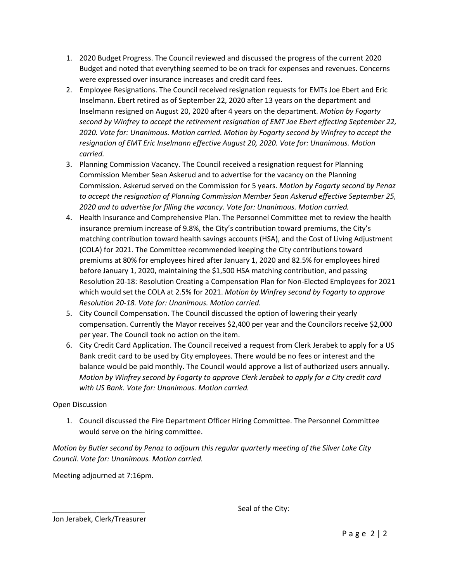- 1. 2020 Budget Progress. The Council reviewed and discussed the progress of the current 2020 Budget and noted that everything seemed to be on track for expenses and revenues. Concerns were expressed over insurance increases and credit card fees.
- 2. Employee Resignations. The Council received resignation requests for EMTs Joe Ebert and Eric Inselmann. Ebert retired as of September 22, 2020 after 13 years on the department and Inselmann resigned on August 20, 2020 after 4 years on the department. *Motion by Fogarty second by Winfrey to accept the retirement resignation of EMT Joe Ebert effecting September 22, 2020. Vote for: Unanimous. Motion carried. Motion by Fogarty second by Winfrey to accept the resignation of EMT Eric Inselmann effective August 20, 2020. Vote for: Unanimous. Motion carried.*
- 3. Planning Commission Vacancy. The Council received a resignation request for Planning Commission Member Sean Askerud and to advertise for the vacancy on the Planning Commission. Askerud served on the Commission for 5 years. *Motion by Fogarty second by Penaz to accept the resignation of Planning Commission Member Sean Askerud effective September 25, 2020 and to advertise for filling the vacancy. Vote for: Unanimous. Motion carried.*
- 4. Health Insurance and Comprehensive Plan. The Personnel Committee met to review the health insurance premium increase of 9.8%, the City's contribution toward premiums, the City's matching contribution toward health savings accounts (HSA), and the Cost of Living Adjustment (COLA) for 2021. The Committee recommended keeping the City contributions toward premiums at 80% for employees hired after January 1, 2020 and 82.5% for employees hired before January 1, 2020, maintaining the \$1,500 HSA matching contribution, and passing Resolution 20-18: Resolution Creating a Compensation Plan for Non-Elected Employees for 2021 which would set the COLA at 2.5% for 2021. *Motion by Winfrey second by Fogarty to approve Resolution 20-18. Vote for: Unanimous. Motion carried.*
- 5. City Council Compensation. The Council discussed the option of lowering their yearly compensation. Currently the Mayor receives \$2,400 per year and the Councilors receive \$2,000 per year. The Council took no action on the item.
- 6. City Credit Card Application. The Council received a request from Clerk Jerabek to apply for a US Bank credit card to be used by City employees. There would be no fees or interest and the balance would be paid monthly. The Council would approve a list of authorized users annually. *Motion by Winfrey second by Fogarty to approve Clerk Jerabek to apply for a City credit card with US Bank. Vote for: Unanimous. Motion carried.*

#### Open Discussion

1. Council discussed the Fire Department Officer Hiring Committee. The Personnel Committee would serve on the hiring committee.

*Motion by Butler second by Penaz to adjourn this regular quarterly meeting of the Silver Lake City Council. Vote for: Unanimous. Motion carried.*

Meeting adjourned at 7:16pm.

Seal of the City:

Jon Jerabek, Clerk/Treasurer